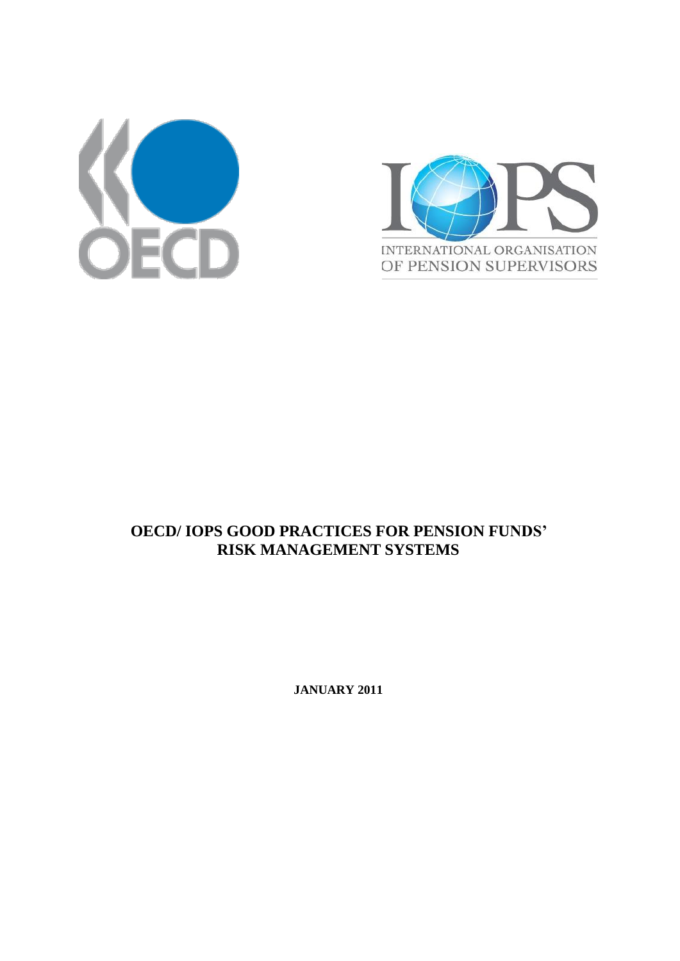



# **OECD/ IOPS GOOD PRACTICES FOR PENSION FUNDS' RISK MANAGEMENT SYSTEMS**

**JANUARY 2011**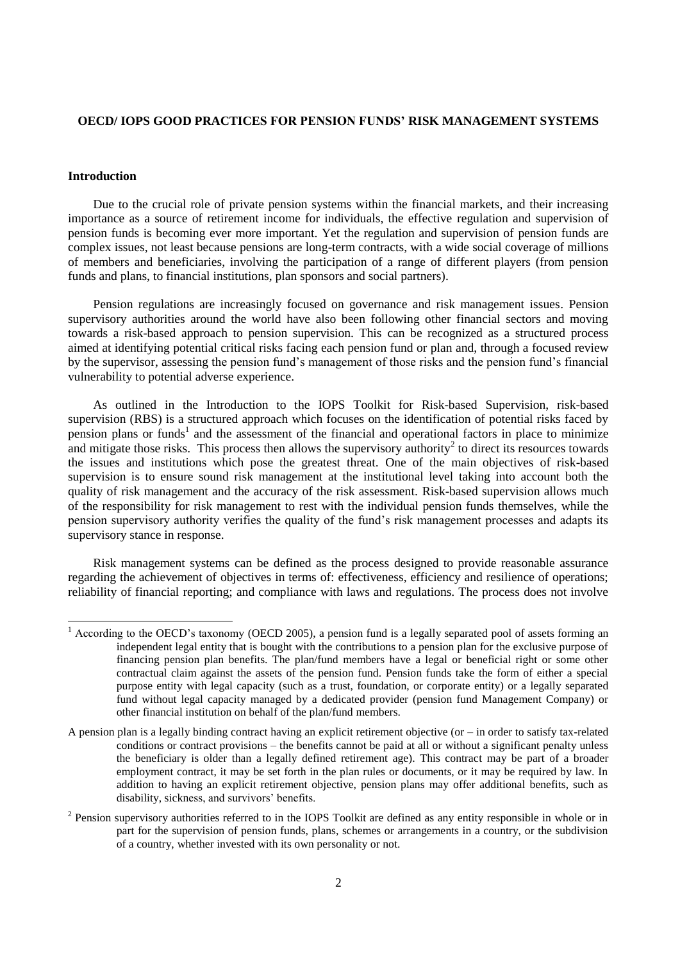### **OECD/ IOPS GOOD PRACTICES FOR PENSION FUNDS' RISK MANAGEMENT SYSTEMS**

#### **Introduction**

Due to the crucial role of private pension systems within the financial markets, and their increasing importance as a source of retirement income for individuals, the effective regulation and supervision of pension funds is becoming ever more important. Yet the regulation and supervision of pension funds are complex issues, not least because pensions are long-term contracts, with a wide social coverage of millions of members and beneficiaries, involving the participation of a range of different players (from pension funds and plans, to financial institutions, plan sponsors and social partners).

Pension regulations are increasingly focused on governance and risk management issues. Pension supervisory authorities around the world have also been following other financial sectors and moving towards a risk-based approach to pension supervision. This can be recognized as a structured process aimed at identifying potential critical risks facing each pension fund or plan and, through a focused review by the supervisor, assessing the pension fund's management of those risks and the pension fund's financial vulnerability to potential adverse experience.

As outlined in the Introduction to the IOPS Toolkit for Risk-based Supervision, risk-based supervision (RBS) is a structured approach which focuses on the identification of potential risks faced by pension plans or funds<sup>1</sup> and the assessment of the financial and operational factors in place to minimize and mitigate those risks. This process then allows the supervisory authority<sup>2</sup> to direct its resources towards the issues and institutions which pose the greatest threat. One of the main objectives of risk-based supervision is to ensure sound risk management at the institutional level taking into account both the quality of risk management and the accuracy of the risk assessment. Risk-based supervision allows much of the responsibility for risk management to rest with the individual pension funds themselves, while the pension supervisory authority verifies the quality of the fund's risk management processes and adapts its supervisory stance in response.

Risk management systems can be defined as the process designed to provide reasonable assurance regarding the achievement of objectives in terms of: effectiveness, efficiency and resilience of operations; reliability of financial reporting; and compliance with laws and regulations. The process does not involve

<sup>&</sup>lt;sup>1</sup> According to the OECD's taxonomy (OECD 2005), a pension fund is a legally separated pool of assets forming an independent legal entity that is bought with the contributions to a pension plan for the exclusive purpose of financing pension plan benefits. The plan/fund members have a legal or beneficial right or some other contractual claim against the assets of the pension fund. Pension funds take the form of either a special purpose entity with legal capacity (such as a trust, foundation, or corporate entity) or a legally separated fund without legal capacity managed by a dedicated provider (pension fund Management Company) or other financial institution on behalf of the plan/fund members.

A pension plan is a legally binding contract having an explicit retirement objective (or – in order to satisfy tax-related conditions or contract provisions – the benefits cannot be paid at all or without a significant penalty unless the beneficiary is older than a legally defined retirement age). This contract may be part of a broader employment contract, it may be set forth in the plan rules or documents, or it may be required by law. In addition to having an explicit retirement objective, pension plans may offer additional benefits, such as disability, sickness, and survivors' benefits.

 $2$  Pension supervisory authorities referred to in the IOPS Toolkit are defined as any entity responsible in whole or in part for the supervision of pension funds, plans, schemes or arrangements in a country, or the subdivision of a country, whether invested with its own personality or not.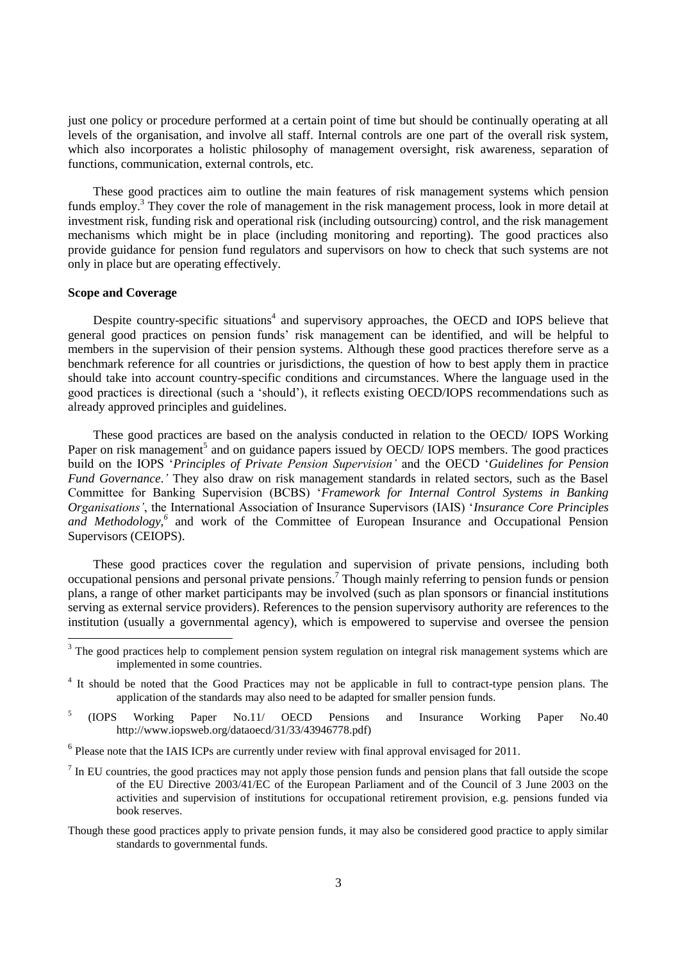just one policy or procedure performed at a certain point of time but should be continually operating at all levels of the organisation, and involve all staff. Internal controls are one part of the overall risk system, which also incorporates a holistic philosophy of management oversight, risk awareness, separation of functions, communication, external controls, etc.

These good practices aim to outline the main features of risk management systems which pension funds employ.<sup>3</sup> They cover the role of management in the risk management process, look in more detail at investment risk, funding risk and operational risk (including outsourcing) control, and the risk management mechanisms which might be in place (including monitoring and reporting). The good practices also provide guidance for pension fund regulators and supervisors on how to check that such systems are not only in place but are operating effectively.

### **Scope and Coverage**

Despite country-specific situations<sup>4</sup> and supervisory approaches, the OECD and IOPS believe that general good practices on pension funds' risk management can be identified, and will be helpful to members in the supervision of their pension systems. Although these good practices therefore serve as a benchmark reference for all countries or jurisdictions, the question of how to best apply them in practice should take into account country-specific conditions and circumstances. Where the language used in the good practices is directional (such a 'should'), it reflects existing OECD/IOPS recommendations such as already approved principles and guidelines.

These good practices are based on the analysis conducted in relation to the OECD/ IOPS Working Paper on risk management<sup>5</sup> and on guidance papers issued by OECD/ IOPS members. The good practices build on the IOPS '*Principles of Private Pension Supervision'* and the OECD '*Guidelines for Pension Fund Governance.'* They also draw on risk management standards in related sectors, such as the Basel Committee for Banking Supervision (BCBS) '*Framework for Internal Control Systems in Banking Organisations'*, the International Association of Insurance Supervisors (IAIS) '*Insurance Core Principles*  and Methodology,<sup>6</sup> and work of the Committee of European Insurance and Occupational Pension Supervisors (CEIOPS).

These good practices cover the regulation and supervision of private pensions, including both occupational pensions and personal private pensions.<sup>7</sup> Though mainly referring to pension funds or pension plans, a range of other market participants may be involved (such as plan sponsors or financial institutions serving as external service providers). References to the pension supervisory authority are references to the institution (usually a governmental agency), which is empowered to supervise and oversee the pension

- 5 (IOPS Working Paper No.11/ OECD Pensions and Insurance Working Paper No.40 http://www.iopsweb.org/dataoecd/31/33/43946778.pdf)
- $<sup>6</sup>$  Please note that the IAIS ICPs are currently under review with final approval envisaged for 2011.</sup>
- $<sup>7</sup>$  In EU countries, the good practices may not apply those pension funds and pension plans that fall outside the scope</sup> of the EU Directive 2003/41/EC of the European Parliament and of the Council of 3 June 2003 on the activities and supervision of institutions for occupational retirement provision, e.g. pensions funded via book reserves.
- Though these good practices apply to private pension funds, it may also be considered good practice to apply similar standards to governmental funds.

 $3$  The good practices help to complement pension system regulation on integral risk management systems which are implemented in some countries.

<sup>&</sup>lt;sup>4</sup> It should be noted that the Good Practices may not be applicable in full to contract-type pension plans. The application of the standards may also need to be adapted for smaller pension funds.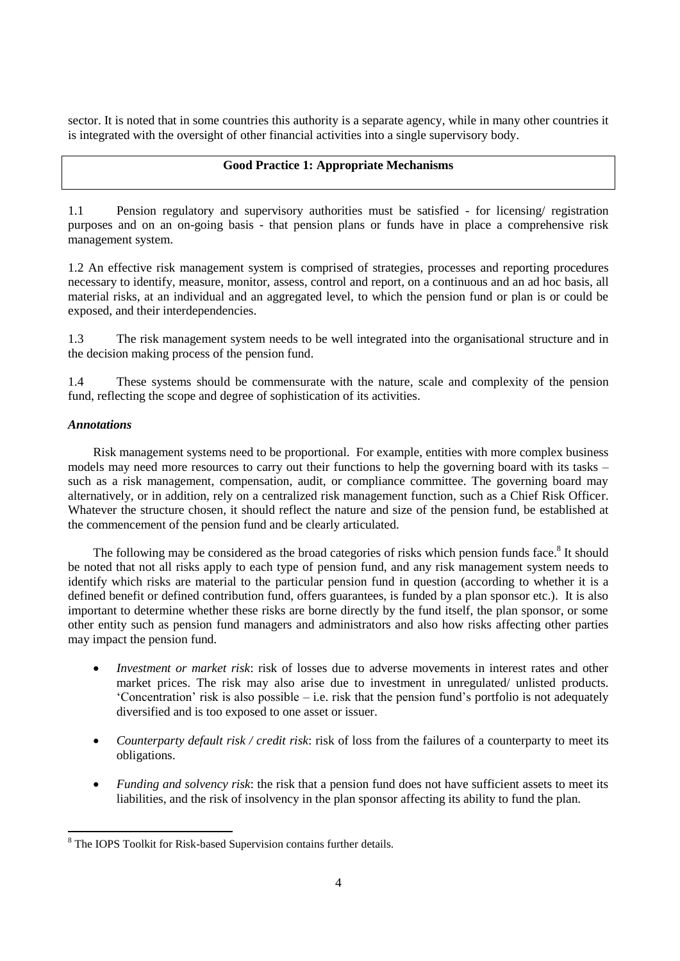sector. It is noted that in some countries this authority is a separate agency, while in many other countries it is integrated with the oversight of other financial activities into a single supervisory body.

### **Good Practice 1: Appropriate Mechanisms**

1.1 Pension regulatory and supervisory authorities must be satisfied - for licensing/ registration purposes and on an on-going basis - that pension plans or funds have in place a comprehensive risk management system.

1.2 An effective risk management system is comprised of strategies, processes and reporting procedures necessary to identify, measure, monitor, assess, control and report, on a continuous and an ad hoc basis, all material risks, at an individual and an aggregated level, to which the pension fund or plan is or could be exposed, and their interdependencies.

1.3 The risk management system needs to be well integrated into the organisational structure and in the decision making process of the pension fund.

1.4 These systems should be commensurate with the nature, scale and complexity of the pension fund, reflecting the scope and degree of sophistication of its activities.

### *Annotations*

 $\overline{a}$ 

Risk management systems need to be proportional. For example, entities with more complex business models may need more resources to carry out their functions to help the governing board with its tasks – such as a risk management, compensation, audit, or compliance committee. The governing board may alternatively, or in addition, rely on a centralized risk management function, such as a Chief Risk Officer. Whatever the structure chosen, it should reflect the nature and size of the pension fund, be established at the commencement of the pension fund and be clearly articulated.

The following may be considered as the broad categories of risks which pension funds face.<sup>8</sup> It should be noted that not all risks apply to each type of pension fund, and any risk management system needs to identify which risks are material to the particular pension fund in question (according to whether it is a defined benefit or defined contribution fund, offers guarantees, is funded by a plan sponsor etc.). It is also important to determine whether these risks are borne directly by the fund itself, the plan sponsor, or some other entity such as pension fund managers and administrators and also how risks affecting other parties may impact the pension fund.

- *Investment or market risk*: risk of losses due to adverse movements in interest rates and other market prices. The risk may also arise due to investment in unregulated/ unlisted products. 'Concentration' risk is also possible – i.e. risk that the pension fund's portfolio is not adequately diversified and is too exposed to one asset or issuer.
- *Counterparty default risk / credit risk*: risk of loss from the failures of a counterparty to meet its obligations.
- *Funding and solvency risk*: the risk that a pension fund does not have sufficient assets to meet its liabilities, and the risk of insolvency in the plan sponsor affecting its ability to fund the plan.

<sup>&</sup>lt;sup>8</sup> The IOPS Toolkit for Risk-based Supervision contains further details.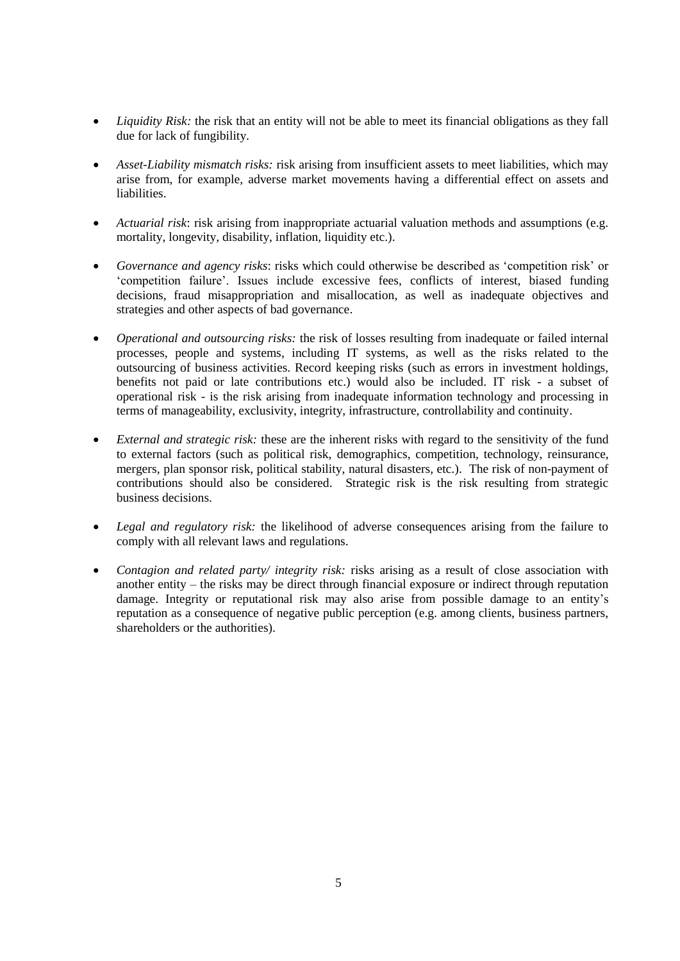- *Liquidity Risk:* the risk that an entity will not be able to meet its financial obligations as they fall due for lack of fungibility.
- *Asset-Liability mismatch risks:* risk arising from insufficient assets to meet liabilities, which may arise from, for example, adverse market movements having a differential effect on assets and liabilities.
- *Actuarial risk*: risk arising from inappropriate actuarial valuation methods and assumptions (e.g. mortality, longevity, disability, inflation, liquidity etc.).
- *Governance and agency risks*: risks which could otherwise be described as 'competition risk' or 'competition failure'. Issues include excessive fees, conflicts of interest, biased funding decisions, fraud misappropriation and misallocation, as well as inadequate objectives and strategies and other aspects of bad governance.
- *Operational and outsourcing risks:* the risk of losses resulting from inadequate or failed internal processes, people and systems, including IT systems, as well as the risks related to the outsourcing of business activities. Record keeping risks (such as errors in investment holdings, benefits not paid or late contributions etc.) would also be included. IT risk - a subset of operational risk - is the risk arising from inadequate information technology and processing in terms of manageability, exclusivity, integrity, infrastructure, controllability and continuity.
- *External and strategic risk:* these are the inherent risks with regard to the sensitivity of the fund to external factors (such as political risk, demographics, competition, technology, reinsurance, mergers, plan sponsor risk, political stability, natural disasters, etc.). The risk of non-payment of contributions should also be considered. Strategic risk is the risk resulting from strategic business decisions.
- *Legal and regulatory risk:* the likelihood of adverse consequences arising from the failure to comply with all relevant laws and regulations.
- *Contagion and related party/ integrity risk:* risks arising as a result of close association with another entity – the risks may be direct through financial exposure or indirect through reputation damage. Integrity or reputational risk may also arise from possible damage to an entity's reputation as a consequence of negative public perception (e.g. among clients, business partners, shareholders or the authorities).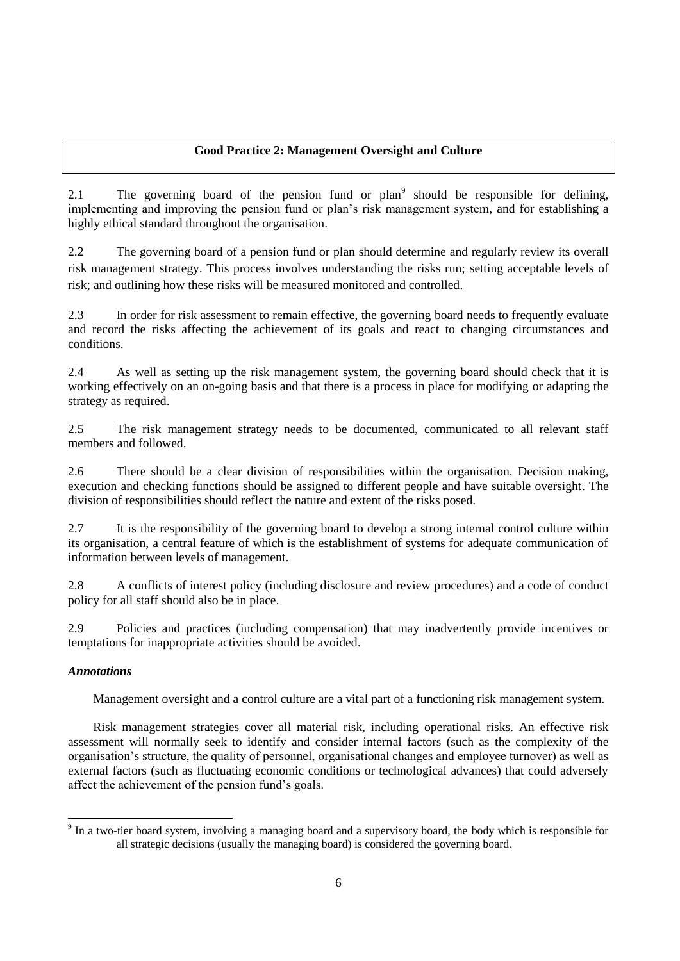# **Good Practice 2: Management Oversight and Culture**

2.1 The governing board of the pension fund or plan<sup>9</sup> should be responsible for defining, implementing and improving the pension fund or plan's risk management system, and for establishing a highly ethical standard throughout the organisation.

2.2 The governing board of a pension fund or plan should determine and regularly review its overall risk management strategy. This process involves understanding the risks run; setting acceptable levels of risk; and outlining how these risks will be measured monitored and controlled.

2.3 In order for risk assessment to remain effective, the governing board needs to frequently evaluate and record the risks affecting the achievement of its goals and react to changing circumstances and conditions.

2.4 As well as setting up the risk management system, the governing board should check that it is working effectively on an on-going basis and that there is a process in place for modifying or adapting the strategy as required.

2.5 The risk management strategy needs to be documented, communicated to all relevant staff members and followed.

2.6 There should be a clear division of responsibilities within the organisation. Decision making, execution and checking functions should be assigned to different people and have suitable oversight. The division of responsibilities should reflect the nature and extent of the risks posed.

2.7 It is the responsibility of the governing board to develop a strong internal control culture within its organisation, a central feature of which is the establishment of systems for adequate communication of information between levels of management.

2.8 A conflicts of interest policy (including disclosure and review procedures) and a code of conduct policy for all staff should also be in place.

2.9 Policies and practices (including compensation) that may inadvertently provide incentives or temptations for inappropriate activities should be avoided.

### *Annotations*

Management oversight and a control culture are a vital part of a functioning risk management system.

Risk management strategies cover all material risk, including operational risks. An effective risk assessment will normally seek to identify and consider internal factors (such as the complexity of the organisation's structure, the quality of personnel, organisational changes and employee turnover) as well as external factors (such as fluctuating economic conditions or technological advances) that could adversely affect the achievement of the pension fund's goals.

<sup>&</sup>lt;sup>9</sup> In a two-tier board system, involving a managing board and a supervisory board, the body which is responsible for all strategic decisions (usually the managing board) is considered the governing board.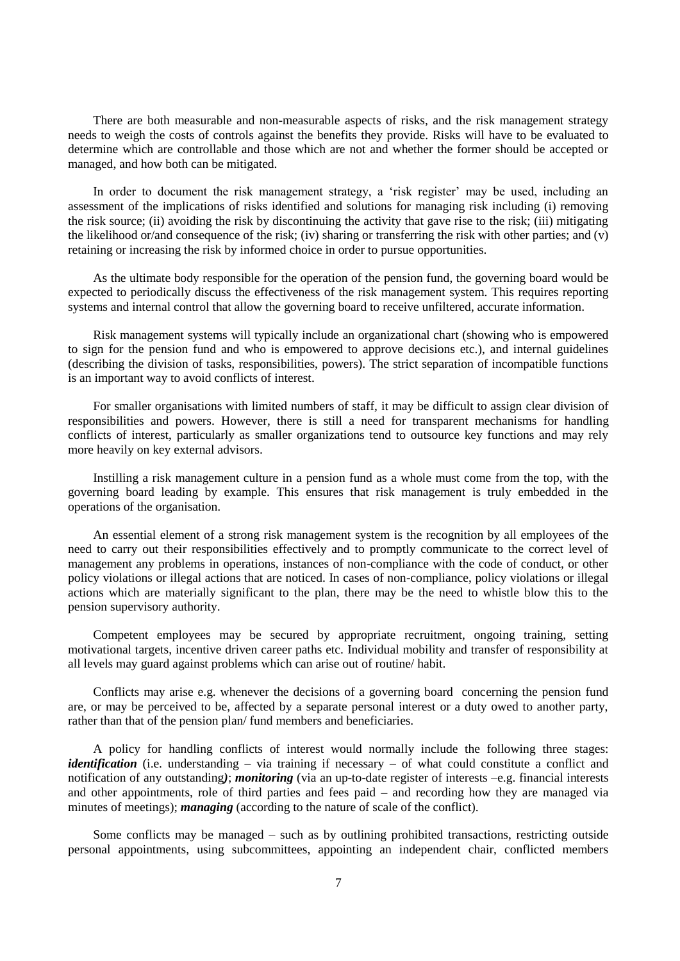There are both measurable and non-measurable aspects of risks, and the risk management strategy needs to weigh the costs of controls against the benefits they provide. Risks will have to be evaluated to determine which are controllable and those which are not and whether the former should be accepted or managed, and how both can be mitigated.

In order to document the risk management strategy, a 'risk register' may be used, including an assessment of the implications of risks identified and solutions for managing risk including (i) removing the risk source; (ii) avoiding the risk by discontinuing the activity that gave rise to the risk; (iii) mitigating the likelihood or/and consequence of the risk; (iv) sharing or transferring the risk with other parties; and (v) retaining or increasing the risk by informed choice in order to pursue opportunities.

As the ultimate body responsible for the operation of the pension fund, the governing board would be expected to periodically discuss the effectiveness of the risk management system. This requires reporting systems and internal control that allow the governing board to receive unfiltered, accurate information.

Risk management systems will typically include an organizational chart (showing who is empowered to sign for the pension fund and who is empowered to approve decisions etc.), and internal guidelines (describing the division of tasks, responsibilities, powers). The strict separation of incompatible functions is an important way to avoid conflicts of interest.

For smaller organisations with limited numbers of staff, it may be difficult to assign clear division of responsibilities and powers. However, there is still a need for transparent mechanisms for handling conflicts of interest, particularly as smaller organizations tend to outsource key functions and may rely more heavily on key external advisors.

Instilling a risk management culture in a pension fund as a whole must come from the top, with the governing board leading by example. This ensures that risk management is truly embedded in the operations of the organisation.

An essential element of a strong risk management system is the recognition by all employees of the need to carry out their responsibilities effectively and to promptly communicate to the correct level of management any problems in operations, instances of non-compliance with the code of conduct, or other policy violations or illegal actions that are noticed. In cases of non-compliance, policy violations or illegal actions which are materially significant to the plan, there may be the need to whistle blow this to the pension supervisory authority.

Competent employees may be secured by appropriate recruitment, ongoing training, setting motivational targets, incentive driven career paths etc. Individual mobility and transfer of responsibility at all levels may guard against problems which can arise out of routine/ habit.

Conflicts may arise e.g. whenever the decisions of a governing board concerning the pension fund are, or may be perceived to be, affected by a separate personal interest or a duty owed to another party, rather than that of the pension plan/ fund members and beneficiaries.

A policy for handling conflicts of interest would normally include the following three stages: *identification* (i.e. understanding – via training if necessary – of what could constitute a conflict and notification of any outstanding*)*; *monitoring* (via an up-to-date register of interests –e.g. financial interests and other appointments, role of third parties and fees paid – and recording how they are managed via minutes of meetings); *managing* (according to the nature of scale of the conflict).

Some conflicts may be managed – such as by outlining prohibited transactions, restricting outside personal appointments, using subcommittees, appointing an independent chair, conflicted members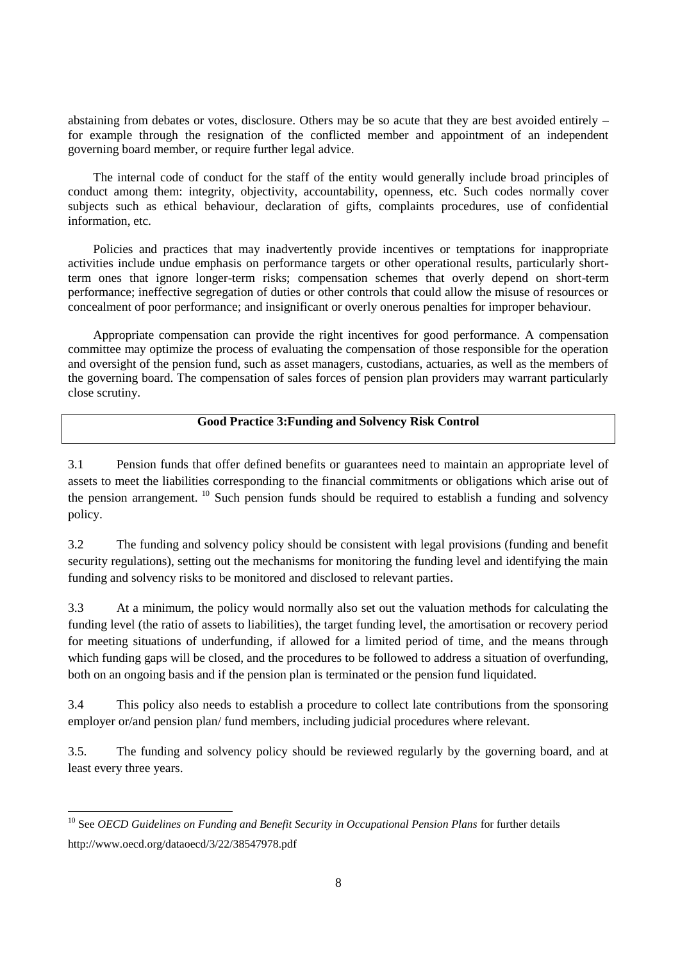abstaining from debates or votes, disclosure. Others may be so acute that they are best avoided entirely – for example through the resignation of the conflicted member and appointment of an independent governing board member, or require further legal advice.

The internal code of conduct for the staff of the entity would generally include broad principles of conduct among them: integrity, objectivity, accountability, openness, etc. Such codes normally cover subjects such as ethical behaviour, declaration of gifts, complaints procedures, use of confidential information, etc.

Policies and practices that may inadvertently provide incentives or temptations for inappropriate activities include undue emphasis on performance targets or other operational results, particularly shortterm ones that ignore longer-term risks; compensation schemes that overly depend on short-term performance; ineffective segregation of duties or other controls that could allow the misuse of resources or concealment of poor performance; and insignificant or overly onerous penalties for improper behaviour.

Appropriate compensation can provide the right incentives for good performance. A compensation committee may optimize the process of evaluating the compensation of those responsible for the operation and oversight of the pension fund, such as asset managers, custodians, actuaries, as well as the members of the governing board. The compensation of sales forces of pension plan providers may warrant particularly close scrutiny.

### **Good Practice 3:Funding and Solvency Risk Control**

3.1 Pension funds that offer defined benefits or guarantees need to maintain an appropriate level of assets to meet the liabilities corresponding to the financial commitments or obligations which arise out of the pension arrangement.  $^{10}$  Such pension funds should be required to establish a funding and solvency policy.

3.2 The funding and solvency policy should be consistent with legal provisions (funding and benefit security regulations), setting out the mechanisms for monitoring the funding level and identifying the main funding and solvency risks to be monitored and disclosed to relevant parties.

3.3 At a minimum, the policy would normally also set out the valuation methods for calculating the funding level (the ratio of assets to liabilities), the target funding level, the amortisation or recovery period for meeting situations of underfunding, if allowed for a limited period of time, and the means through which funding gaps will be closed, and the procedures to be followed to address a situation of overfunding, both on an ongoing basis and if the pension plan is terminated or the pension fund liquidated.

3.4 This policy also needs to establish a procedure to collect late contributions from the sponsoring employer or/and pension plan/ fund members, including judicial procedures where relevant.

3.5. The funding and solvency policy should be reviewed regularly by the governing board, and at least every three years.

<sup>&</sup>lt;sup>10</sup> See *OECD Guidelines on Funding and Benefit Security in Occupational Pension Plans for further details* http://www.oecd.org/dataoecd/3/22/38547978.pdf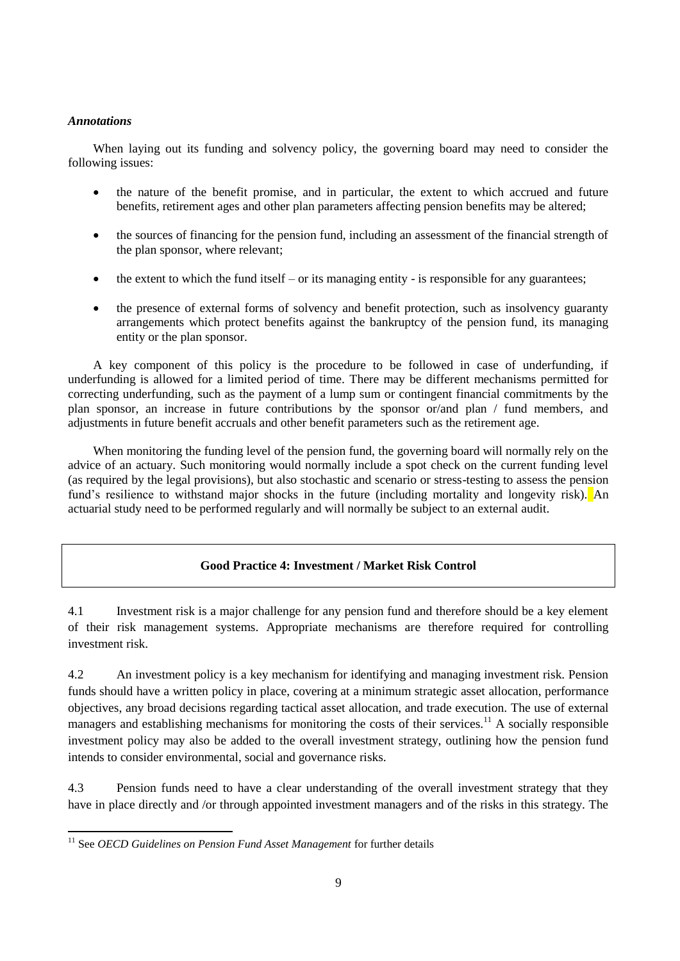### *Annotations*

 $\overline{a}$ 

When laying out its funding and solvency policy, the governing board may need to consider the following issues:

- the nature of the benefit promise, and in particular, the extent to which accrued and future benefits, retirement ages and other plan parameters affecting pension benefits may be altered;
- the sources of financing for the pension fund, including an assessment of the financial strength of the plan sponsor, where relevant;
- $\bullet$  the extent to which the fund itself or its managing entity is responsible for any guarantees;
- the presence of external forms of solvency and benefit protection, such as insolvency guaranty arrangements which protect benefits against the bankruptcy of the pension fund, its managing entity or the plan sponsor.

A key component of this policy is the procedure to be followed in case of underfunding, if underfunding is allowed for a limited period of time. There may be different mechanisms permitted for correcting underfunding, such as the payment of a lump sum or contingent financial commitments by the plan sponsor, an increase in future contributions by the sponsor or/and plan / fund members, and adjustments in future benefit accruals and other benefit parameters such as the retirement age.

When monitoring the funding level of the pension fund, the governing board will normally rely on the advice of an actuary. Such monitoring would normally include a spot check on the current funding level (as required by the legal provisions), but also stochastic and scenario or stress-testing to assess the pension fund's resilience to withstand major shocks in the future (including mortality and longevity risk). An actuarial study need to be performed regularly and will normally be subject to an external audit.

## **Good Practice 4: Investment / Market Risk Control**

4.1 Investment risk is a major challenge for any pension fund and therefore should be a key element of their risk management systems. Appropriate mechanisms are therefore required for controlling investment risk.

4.2 An investment policy is a key mechanism for identifying and managing investment risk. Pension funds should have a written policy in place, covering at a minimum strategic asset allocation, performance objectives, any broad decisions regarding tactical asset allocation, and trade execution. The use of external managers and establishing mechanisms for monitoring the costs of their services.<sup>11</sup> A socially responsible investment policy may also be added to the overall investment strategy, outlining how the pension fund intends to consider environmental, social and governance risks.

4.3 Pension funds need to have a clear understanding of the overall investment strategy that they have in place directly and /or through appointed investment managers and of the risks in this strategy. The

<sup>&</sup>lt;sup>11</sup> See *OECD Guidelines on Pension Fund Asset Management* for further details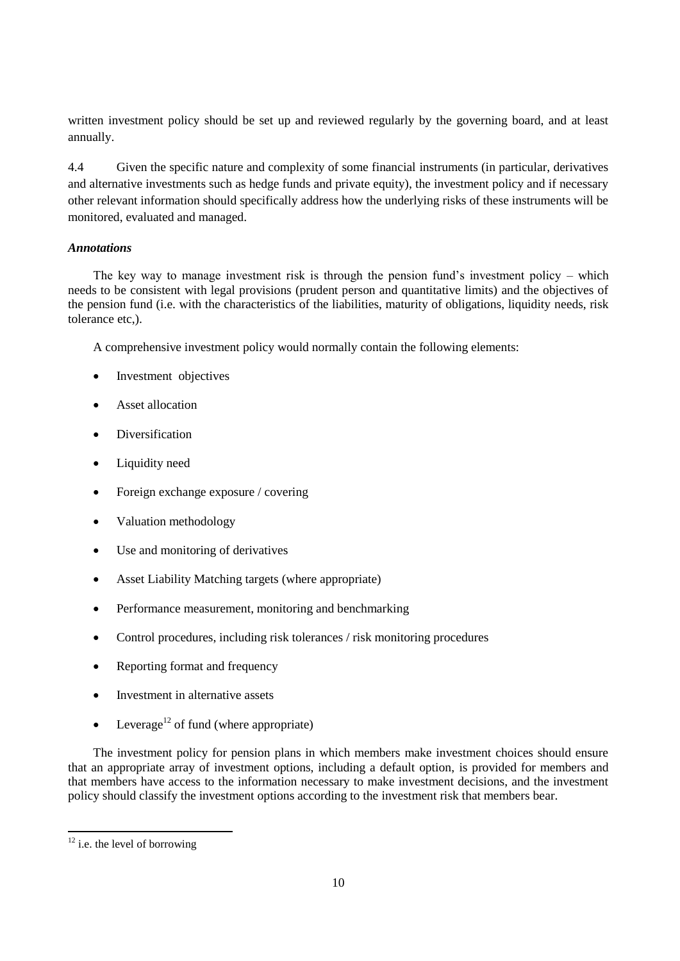written investment policy should be set up and reviewed regularly by the governing board, and at least annually.

4.4 Given the specific nature and complexity of some financial instruments (in particular, derivatives and alternative investments such as hedge funds and private equity), the investment policy and if necessary other relevant information should specifically address how the underlying risks of these instruments will be monitored, evaluated and managed.

## *Annotations*

The key way to manage investment risk is through the pension fund's investment policy – which needs to be consistent with legal provisions (prudent person and quantitative limits) and the objectives of the pension fund (i.e. with the characteristics of the liabilities, maturity of obligations, liquidity needs, risk tolerance etc,).

A comprehensive investment policy would normally contain the following elements:

- Investment objectives
- Asset allocation
- Diversification
- Liquidity need
- Foreign exchange exposure / covering
- Valuation methodology
- Use and monitoring of derivatives
- Asset Liability Matching targets (where appropriate)
- Performance measurement, monitoring and benchmarking
- Control procedures, including risk tolerances / risk monitoring procedures
- Reporting format and frequency
- Investment in alternative assets
- Leverage<sup>12</sup> of fund (where appropriate)

The investment policy for pension plans in which members make investment choices should ensure that an appropriate array of investment options, including a default option, is provided for members and that members have access to the information necessary to make investment decisions, and the investment policy should classify the investment options according to the investment risk that members bear.

 $12$  i.e. the level of borrowing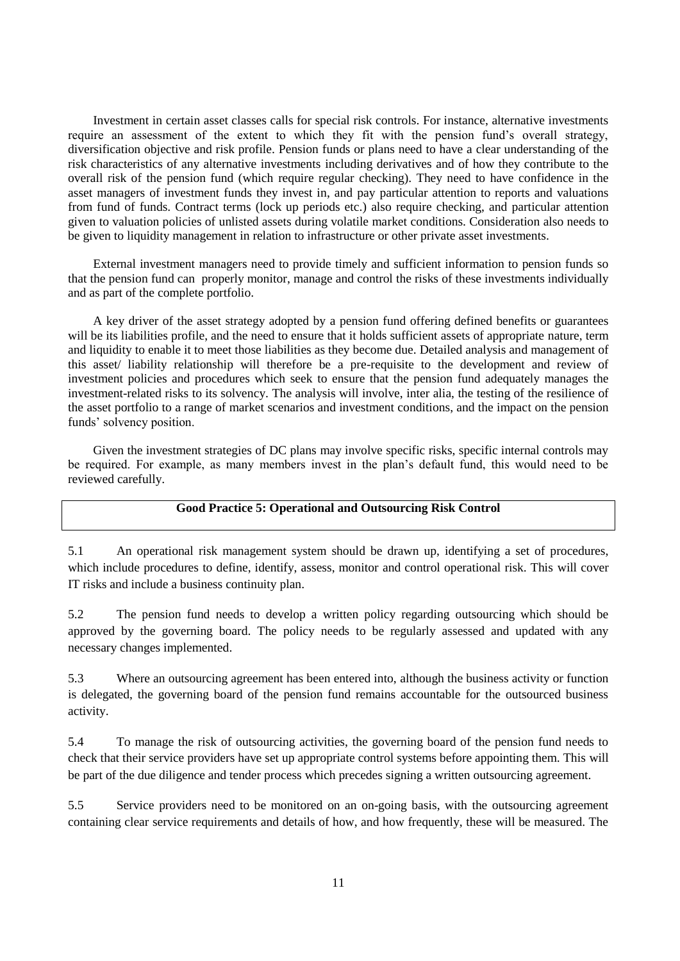Investment in certain asset classes calls for special risk controls. For instance, alternative investments require an assessment of the extent to which they fit with the pension fund's overall strategy, diversification objective and risk profile. Pension funds or plans need to have a clear understanding of the risk characteristics of any alternative investments including derivatives and of how they contribute to the overall risk of the pension fund (which require regular checking). They need to have confidence in the asset managers of investment funds they invest in, and pay particular attention to reports and valuations from fund of funds. Contract terms (lock up periods etc.) also require checking, and particular attention given to valuation policies of unlisted assets during volatile market conditions. Consideration also needs to be given to liquidity management in relation to infrastructure or other private asset investments.

External investment managers need to provide timely and sufficient information to pension funds so that the pension fund can properly monitor, manage and control the risks of these investments individually and as part of the complete portfolio.

A key driver of the asset strategy adopted by a pension fund offering defined benefits or guarantees will be its liabilities profile, and the need to ensure that it holds sufficient assets of appropriate nature, term and liquidity to enable it to meet those liabilities as they become due. Detailed analysis and management of this asset/ liability relationship will therefore be a pre-requisite to the development and review of investment policies and procedures which seek to ensure that the pension fund adequately manages the investment-related risks to its solvency. The analysis will involve, inter alia, the testing of the resilience of the asset portfolio to a range of market scenarios and investment conditions, and the impact on the pension funds' solvency position.

Given the investment strategies of DC plans may involve specific risks, specific internal controls may be required. For example, as many members invest in the plan's default fund, this would need to be reviewed carefully.

### **Good Practice 5: Operational and Outsourcing Risk Control**

5.1 An operational risk management system should be drawn up, identifying a set of procedures, which include procedures to define, identify, assess, monitor and control operational risk. This will cover IT risks and include a business continuity plan.

5.2 The pension fund needs to develop a written policy regarding outsourcing which should be approved by the governing board. The policy needs to be regularly assessed and updated with any necessary changes implemented.

5.3 Where an outsourcing agreement has been entered into, although the business activity or function is delegated, the governing board of the pension fund remains accountable for the outsourced business activity.

5.4 To manage the risk of outsourcing activities, the governing board of the pension fund needs to check that their service providers have set up appropriate control systems before appointing them. This will be part of the due diligence and tender process which precedes signing a written outsourcing agreement.

5.5 Service providers need to be monitored on an on-going basis, with the outsourcing agreement containing clear service requirements and details of how, and how frequently, these will be measured. The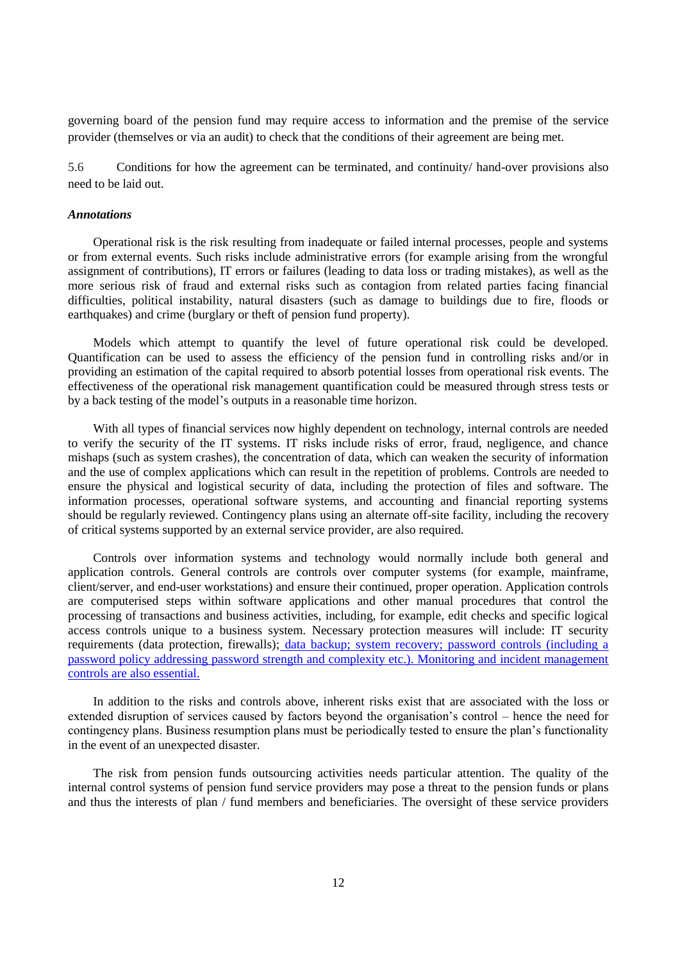governing board of the pension fund may require access to information and the premise of the service provider (themselves or via an audit) to check that the conditions of their agreement are being met.

5.6 Conditions for how the agreement can be terminated, and continuity/ hand-over provisions also need to be laid out.

#### *Annotations*

Operational risk is the risk resulting from inadequate or failed internal processes, people and systems or from external events. Such risks include administrative errors (for example arising from the wrongful assignment of contributions), IT errors or failures (leading to data loss or trading mistakes), as well as the more serious risk of fraud and external risks such as contagion from related parties facing financial difficulties, political instability, natural disasters (such as damage to buildings due to fire, floods or earthquakes) and crime (burglary or theft of pension fund property).

Models which attempt to quantify the level of future operational risk could be developed. Quantification can be used to assess the efficiency of the pension fund in controlling risks and/or in providing an estimation of the capital required to absorb potential losses from operational risk events. The effectiveness of the operational risk management quantification could be measured through stress tests or by a back testing of the model's outputs in a reasonable time horizon.

With all types of financial services now highly dependent on technology, internal controls are needed to verify the security of the IT systems. IT risks include risks of error, fraud, negligence, and chance mishaps (such as system crashes), the concentration of data, which can weaken the security of information and the use of complex applications which can result in the repetition of problems. Controls are needed to ensure the physical and logistical security of data, including the protection of files and software. The information processes, operational software systems, and accounting and financial reporting systems should be regularly reviewed. Contingency plans using an alternate off-site facility, including the recovery of critical systems supported by an external service provider, are also required.

Controls over information systems and technology would normally include both general and application controls. General controls are controls over computer systems (for example, mainframe, client/server, and end-user workstations) and ensure their continued, proper operation. Application controls are computerised steps within software applications and other manual procedures that control the processing of transactions and business activities, including, for example, edit checks and specific logical access controls unique to a business system. Necessary protection measures will include: IT security requirements (data protection, firewalls); data backup; system recovery; password controls (including a password policy addressing password strength and complexity etc.). Monitoring and incident management controls are also essential.

In addition to the risks and controls above, inherent risks exist that are associated with the loss or extended disruption of services caused by factors beyond the organisation's control – hence the need for contingency plans. Business resumption plans must be periodically tested to ensure the plan's functionality in the event of an unexpected disaster.

The risk from pension funds outsourcing activities needs particular attention. The quality of the internal control systems of pension fund service providers may pose a threat to the pension funds or plans and thus the interests of plan / fund members and beneficiaries. The oversight of these service providers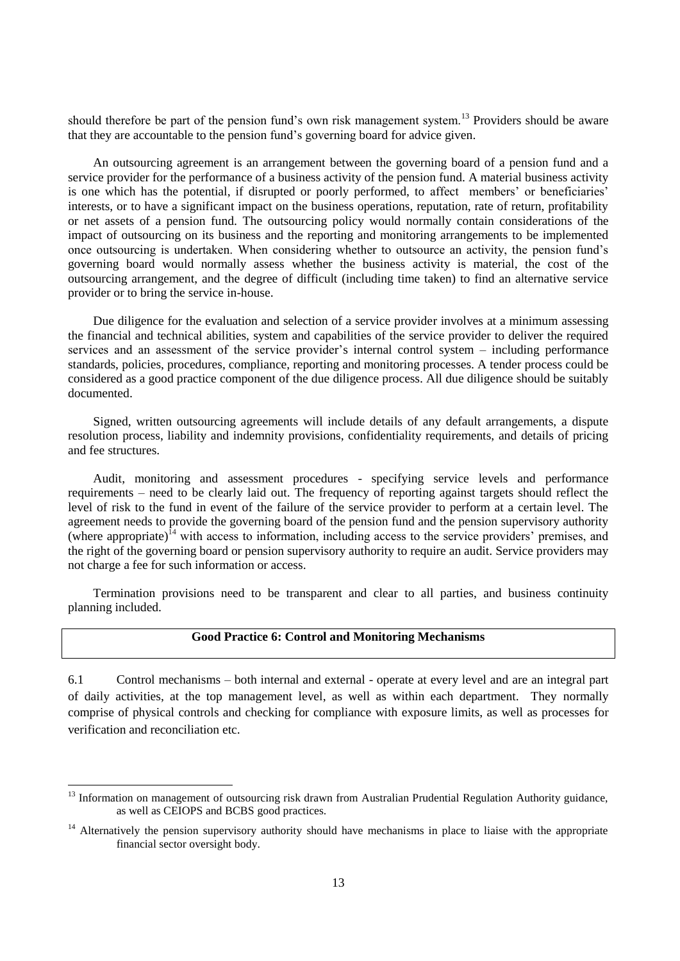should therefore be part of the pension fund's own risk management system.<sup>13</sup> Providers should be aware that they are accountable to the pension fund's governing board for advice given.

An outsourcing agreement is an arrangement between the governing board of a pension fund and a service provider for the performance of a business activity of the pension fund. A material business activity is one which has the potential, if disrupted or poorly performed, to affect members' or beneficiaries' interests, or to have a significant impact on the business operations, reputation, rate of return, profitability or net assets of a pension fund. The outsourcing policy would normally contain considerations of the impact of outsourcing on its business and the reporting and monitoring arrangements to be implemented once outsourcing is undertaken. When considering whether to outsource an activity, the pension fund's governing board would normally assess whether the business activity is material, the cost of the outsourcing arrangement, and the degree of difficult (including time taken) to find an alternative service provider or to bring the service in-house.

Due diligence for the evaluation and selection of a service provider involves at a minimum assessing the financial and technical abilities, system and capabilities of the service provider to deliver the required services and an assessment of the service provider's internal control system – including performance standards, policies, procedures, compliance, reporting and monitoring processes. A tender process could be considered as a good practice component of the due diligence process. All due diligence should be suitably documented.

Signed, written outsourcing agreements will include details of any default arrangements, a dispute resolution process, liability and indemnity provisions, confidentiality requirements, and details of pricing and fee structures.

Audit, monitoring and assessment procedures - specifying service levels and performance requirements – need to be clearly laid out. The frequency of reporting against targets should reflect the level of risk to the fund in event of the failure of the service provider to perform at a certain level. The agreement needs to provide the governing board of the pension fund and the pension supervisory authority (where appropriate)<sup>14</sup> with access to information, including access to the service providers' premises, and the right of the governing board or pension supervisory authority to require an audit. Service providers may not charge a fee for such information or access.

Termination provisions need to be transparent and clear to all parties, and business continuity planning included.

### **Good Practice 6: Control and Monitoring Mechanisms**

6.1 Control mechanisms – both internal and external - operate at every level and are an integral part of daily activities, at the top management level, as well as within each department. They normally comprise of physical controls and checking for compliance with exposure limits, as well as processes for verification and reconciliation etc.

 $13$  Information on management of outsourcing risk drawn from Australian Prudential Regulation Authority guidance, as well as CEIOPS and BCBS good practices.

<sup>&</sup>lt;sup>14</sup> Alternatively the pension supervisory authority should have mechanisms in place to liaise with the appropriate financial sector oversight body.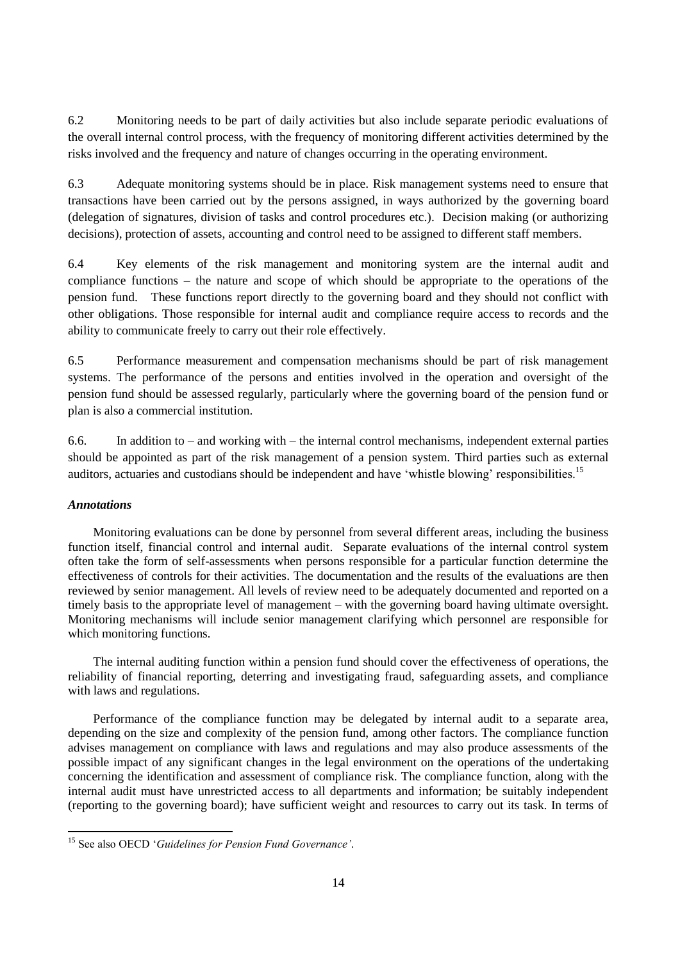6.2 Monitoring needs to be part of daily activities but also include separate periodic evaluations of the overall internal control process, with the frequency of monitoring different activities determined by the risks involved and the frequency and nature of changes occurring in the operating environment.

6.3 Adequate monitoring systems should be in place. Risk management systems need to ensure that transactions have been carried out by the persons assigned, in ways authorized by the governing board (delegation of signatures, division of tasks and control procedures etc.). Decision making (or authorizing decisions), protection of assets, accounting and control need to be assigned to different staff members.

6.4 Key elements of the risk management and monitoring system are the internal audit and compliance functions – the nature and scope of which should be appropriate to the operations of the pension fund. These functions report directly to the governing board and they should not conflict with other obligations. Those responsible for internal audit and compliance require access to records and the ability to communicate freely to carry out their role effectively.

6.5 Performance measurement and compensation mechanisms should be part of risk management systems. The performance of the persons and entities involved in the operation and oversight of the pension fund should be assessed regularly, particularly where the governing board of the pension fund or plan is also a commercial institution.

6.6. In addition to – and working with – the internal control mechanisms, independent external parties should be appointed as part of the risk management of a pension system. Third parties such as external auditors, actuaries and custodians should be independent and have 'whistle blowing' responsibilities.<sup>15</sup>

### *Annotations*

 $\overline{a}$ 

Monitoring evaluations can be done by personnel from several different areas, including the business function itself, financial control and internal audit. Separate evaluations of the internal control system often take the form of self-assessments when persons responsible for a particular function determine the effectiveness of controls for their activities. The documentation and the results of the evaluations are then reviewed by senior management. All levels of review need to be adequately documented and reported on a timely basis to the appropriate level of management – with the governing board having ultimate oversight. Monitoring mechanisms will include senior management clarifying which personnel are responsible for which monitoring functions.

The internal auditing function within a pension fund should cover the effectiveness of operations, the reliability of financial reporting, deterring and investigating fraud, safeguarding assets, and compliance with laws and regulations.

Performance of the compliance function may be delegated by internal audit to a separate area, depending on the size and complexity of the pension fund, among other factors. The compliance function advises management on compliance with laws and regulations and may also produce assessments of the possible impact of any significant changes in the legal environment on the operations of the undertaking concerning the identification and assessment of compliance risk. The compliance function, along with the internal audit must have unrestricted access to all departments and information; be suitably independent (reporting to the governing board); have sufficient weight and resources to carry out its task. In terms of

<sup>15</sup> See also OECD '*Guidelines for Pension Fund Governance'.*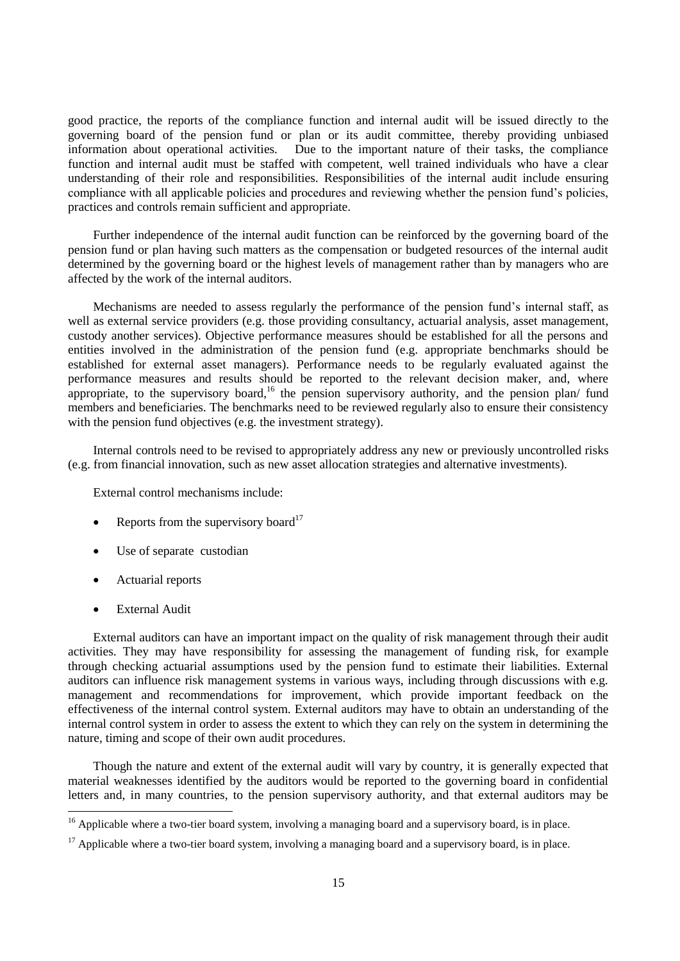good practice, the reports of the compliance function and internal audit will be issued directly to the governing board of the pension fund or plan or its audit committee, thereby providing unbiased information about operational activities. Due to the important nature of their tasks, the compliance function and internal audit must be staffed with competent, well trained individuals who have a clear understanding of their role and responsibilities. Responsibilities of the internal audit include ensuring compliance with all applicable policies and procedures and reviewing whether the pension fund's policies, practices and controls remain sufficient and appropriate.

Further independence of the internal audit function can be reinforced by the governing board of the pension fund or plan having such matters as the compensation or budgeted resources of the internal audit determined by the governing board or the highest levels of management rather than by managers who are affected by the work of the internal auditors.

Mechanisms are needed to assess regularly the performance of the pension fund's internal staff, as well as external service providers (e.g. those providing consultancy, actuarial analysis, asset management, custody another services). Objective performance measures should be established for all the persons and entities involved in the administration of the pension fund (e.g. appropriate benchmarks should be established for external asset managers). Performance needs to be regularly evaluated against the performance measures and results should be reported to the relevant decision maker, and, where appropriate, to the supervisory board,<sup>16</sup> the pension supervisory authority, and the pension plan/ fund members and beneficiaries. The benchmarks need to be reviewed regularly also to ensure their consistency with the pension fund objectives (e.g. the investment strategy).

Internal controls need to be revised to appropriately address any new or previously uncontrolled risks (e.g. from financial innovation, such as new asset allocation strategies and alternative investments).

External control mechanisms include:

- Reports from the supervisory board<sup>17</sup>
- Use of separate custodian
- Actuarial reports
- External Audit

External auditors can have an important impact on the quality of risk management through their audit activities. They may have responsibility for assessing the management of funding risk, for example through checking actuarial assumptions used by the pension fund to estimate their liabilities. External auditors can influence risk management systems in various ways, including through discussions with e.g. management and recommendations for improvement, which provide important feedback on the effectiveness of the internal control system. External auditors may have to obtain an understanding of the internal control system in order to assess the extent to which they can rely on the system in determining the nature, timing and scope of their own audit procedures.

Though the nature and extent of the external audit will vary by country, it is generally expected that material weaknesses identified by the auditors would be reported to the governing board in confidential letters and, in many countries, to the pension supervisory authority, and that external auditors may be

 $16$  Applicable where a two-tier board system, involving a managing board and a supervisory board, is in place.

<sup>&</sup>lt;sup>17</sup> Applicable where a two-tier board system, involving a managing board and a supervisory board, is in place.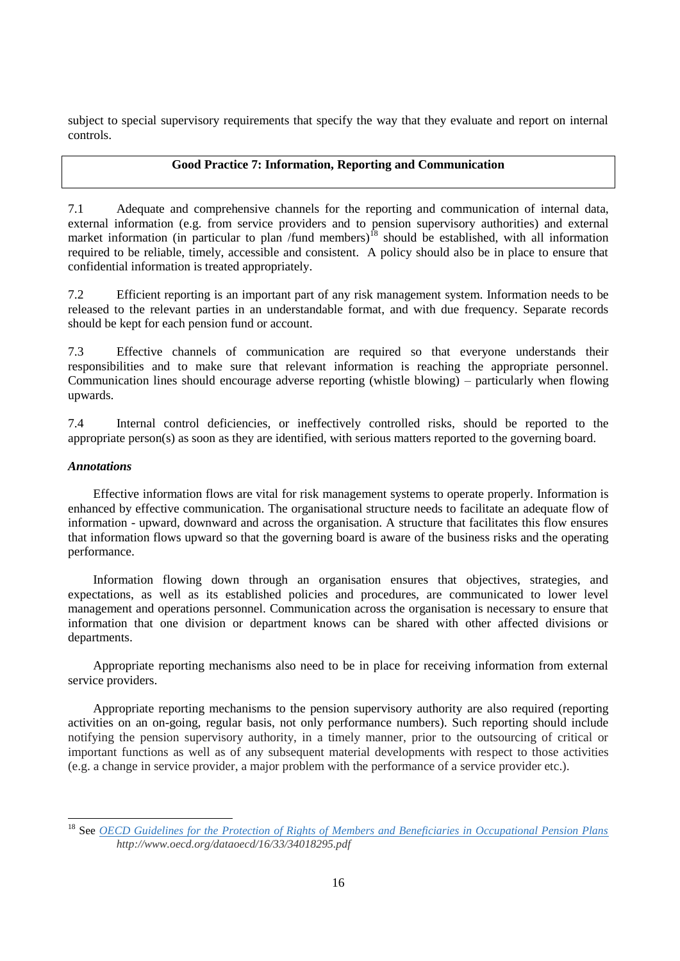subject to special supervisory requirements that specify the way that they evaluate and report on internal controls.

### **Good Practice 7: Information, Reporting and Communication**

7.1 Adequate and comprehensive channels for the reporting and communication of internal data, external information (e.g. from service providers and to pension supervisory authorities) and external market information (in particular to plan /fund members)<sup>18</sup> should be established, with all information required to be reliable, timely, accessible and consistent. A policy should also be in place to ensure that confidential information is treated appropriately.

7.2 Efficient reporting is an important part of any risk management system. Information needs to be released to the relevant parties in an understandable format, and with due frequency. Separate records should be kept for each pension fund or account.

7.3 Effective channels of communication are required so that everyone understands their responsibilities and to make sure that relevant information is reaching the appropriate personnel. Communication lines should encourage adverse reporting (whistle blowing) – particularly when flowing upwards.

7.4 Internal control deficiencies, or ineffectively controlled risks, should be reported to the appropriate person(s) as soon as they are identified, with serious matters reported to the governing board.

### *Annotations*

Effective information flows are vital for risk management systems to operate properly. Information is enhanced by effective communication. The organisational structure needs to facilitate an adequate flow of information - upward, downward and across the organisation. A structure that facilitates this flow ensures that information flows upward so that the governing board is aware of the business risks and the operating performance.

Information flowing down through an organisation ensures that objectives, strategies, and expectations, as well as its established policies and procedures, are communicated to lower level management and operations personnel. Communication across the organisation is necessary to ensure that information that one division or department knows can be shared with other affected divisions or departments.

Appropriate reporting mechanisms also need to be in place for receiving information from external service providers.

Appropriate reporting mechanisms to the pension supervisory authority are also required (reporting activities on an on-going, regular basis, not only performance numbers). Such reporting should include notifying the pension supervisory authority, in a timely manner, prior to the outsourcing of critical or important functions as well as of any subsequent material developments with respect to those activities (e.g. a change in service provider, a major problem with the performance of a service provider etc.).

<sup>18</sup> See *[OECD Guidelines for the Protection of Rights of Members and Beneficiaries in Occupational Pension Plans](http://www.oecd.org/dataoecd/16/33/34018295.pdf) http://www.oecd.org/dataoecd/16/33/34018295.pdf*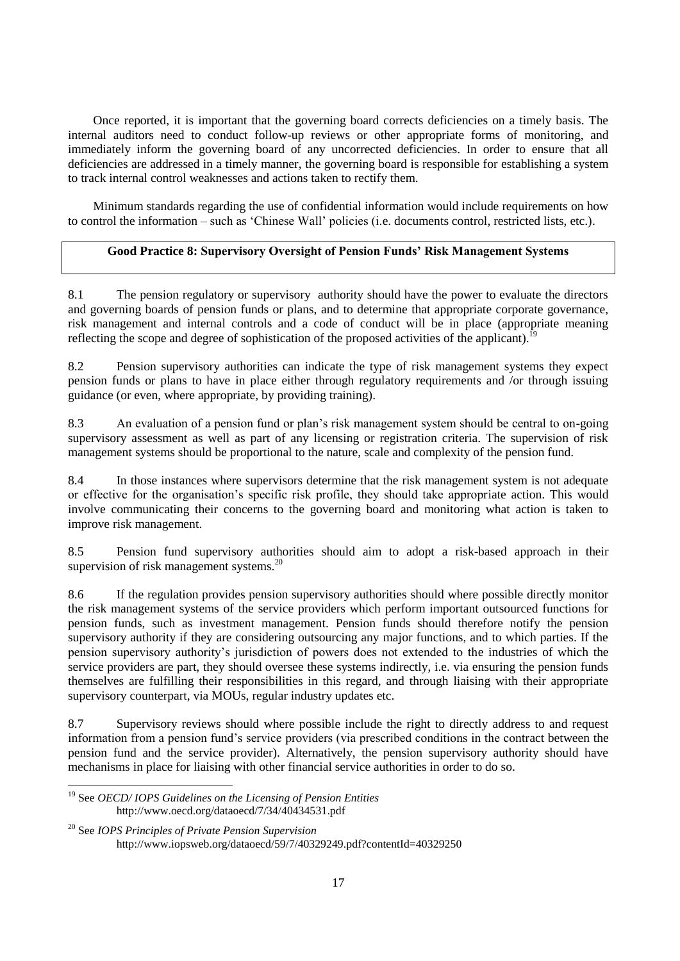Once reported, it is important that the governing board corrects deficiencies on a timely basis. The internal auditors need to conduct follow-up reviews or other appropriate forms of monitoring, and immediately inform the governing board of any uncorrected deficiencies. In order to ensure that all deficiencies are addressed in a timely manner, the governing board is responsible for establishing a system to track internal control weaknesses and actions taken to rectify them.

Minimum standards regarding the use of confidential information would include requirements on how to control the information – such as 'Chinese Wall' policies (i.e. documents control, restricted lists, etc.).

### **Good Practice 8: Supervisory Oversight of Pension Funds' Risk Management Systems**

8.1 The pension regulatory or supervisory authority should have the power to evaluate the directors and governing boards of pension funds or plans, and to determine that appropriate corporate governance, risk management and internal controls and a code of conduct will be in place (appropriate meaning reflecting the scope and degree of sophistication of the proposed activities of the applicant).<sup>19</sup>

8.2 Pension supervisory authorities can indicate the type of risk management systems they expect pension funds or plans to have in place either through regulatory requirements and /or through issuing guidance (or even, where appropriate, by providing training).

8.3 An evaluation of a pension fund or plan's risk management system should be central to on-going supervisory assessment as well as part of any licensing or registration criteria. The supervision of risk management systems should be proportional to the nature, scale and complexity of the pension fund.

8.4 In those instances where supervisors determine that the risk management system is not adequate or effective for the organisation's specific risk profile, they should take appropriate action. This would involve communicating their concerns to the governing board and monitoring what action is taken to improve risk management.

8.5 Pension fund supervisory authorities should aim to adopt a risk-based approach in their supervision of risk management systems.<sup>20</sup>

8.6 If the regulation provides pension supervisory authorities should where possible directly monitor the risk management systems of the service providers which perform important outsourced functions for pension funds, such as investment management. Pension funds should therefore notify the pension supervisory authority if they are considering outsourcing any major functions, and to which parties. If the pension supervisory authority's jurisdiction of powers does not extended to the industries of which the service providers are part, they should oversee these systems indirectly, i.e. via ensuring the pension funds themselves are fulfilling their responsibilities in this regard, and through liaising with their appropriate supervisory counterpart, via MOUs, regular industry updates etc.

8.7 Supervisory reviews should where possible include the right to directly address to and request information from a pension fund's service providers (via prescribed conditions in the contract between the pension fund and the service provider). Alternatively, the pension supervisory authority should have mechanisms in place for liaising with other financial service authorities in order to do so.

<sup>19</sup> See *OECD/ IOPS Guidelines on the Licensing of Pension Entities* http://www.oecd.org/dataoecd/7/34/40434531.pdf

<sup>20</sup> See *IOPS Principles of Private Pension Supervision* http://www.iopsweb.org/dataoecd/59/7/40329249.pdf?contentId=40329250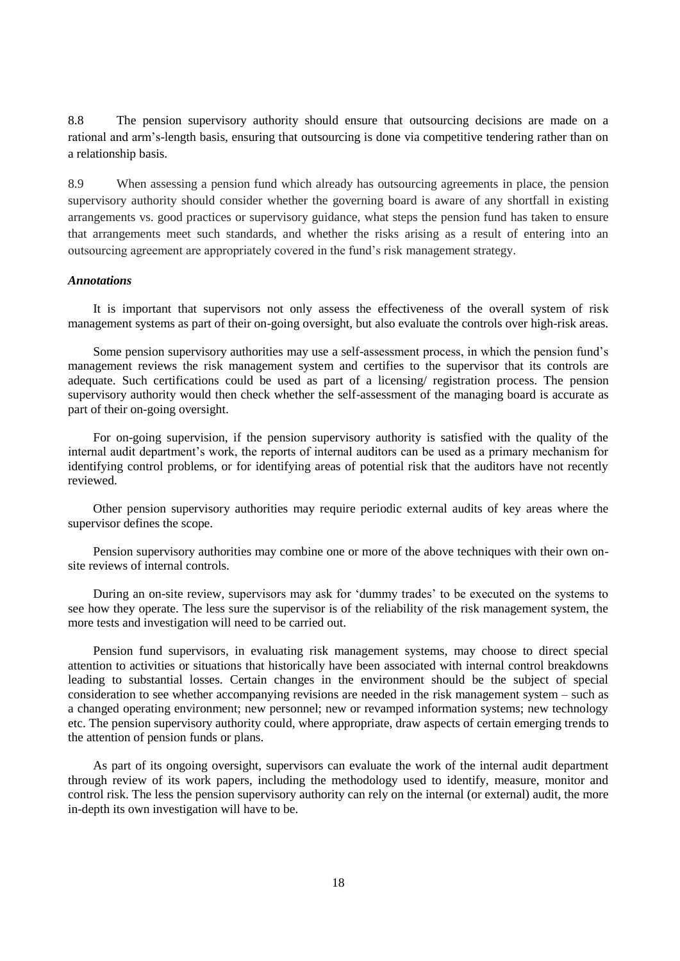8.8 The pension supervisory authority should ensure that outsourcing decisions are made on a rational and arm's-length basis, ensuring that outsourcing is done via competitive tendering rather than on a relationship basis.

8.9 When assessing a pension fund which already has outsourcing agreements in place, the pension supervisory authority should consider whether the governing board is aware of any shortfall in existing arrangements vs. good practices or supervisory guidance, what steps the pension fund has taken to ensure that arrangements meet such standards, and whether the risks arising as a result of entering into an outsourcing agreement are appropriately covered in the fund's risk management strategy.

### *Annotations*

It is important that supervisors not only assess the effectiveness of the overall system of risk management systems as part of their on-going oversight, but also evaluate the controls over high-risk areas.

Some pension supervisory authorities may use a self-assessment process, in which the pension fund's management reviews the risk management system and certifies to the supervisor that its controls are adequate. Such certifications could be used as part of a licensing/ registration process. The pension supervisory authority would then check whether the self-assessment of the managing board is accurate as part of their on-going oversight.

For on-going supervision, if the pension supervisory authority is satisfied with the quality of the internal audit department's work, the reports of internal auditors can be used as a primary mechanism for identifying control problems, or for identifying areas of potential risk that the auditors have not recently reviewed.

Other pension supervisory authorities may require periodic external audits of key areas where the supervisor defines the scope.

Pension supervisory authorities may combine one or more of the above techniques with their own onsite reviews of internal controls.

During an on-site review, supervisors may ask for 'dummy trades' to be executed on the systems to see how they operate. The less sure the supervisor is of the reliability of the risk management system, the more tests and investigation will need to be carried out.

Pension fund supervisors, in evaluating risk management systems, may choose to direct special attention to activities or situations that historically have been associated with internal control breakdowns leading to substantial losses. Certain changes in the environment should be the subject of special consideration to see whether accompanying revisions are needed in the risk management system – such as a changed operating environment; new personnel; new or revamped information systems; new technology etc. The pension supervisory authority could, where appropriate, draw aspects of certain emerging trends to the attention of pension funds or plans.

As part of its ongoing oversight, supervisors can evaluate the work of the internal audit department through review of its work papers, including the methodology used to identify, measure, monitor and control risk. The less the pension supervisory authority can rely on the internal (or external) audit, the more in-depth its own investigation will have to be.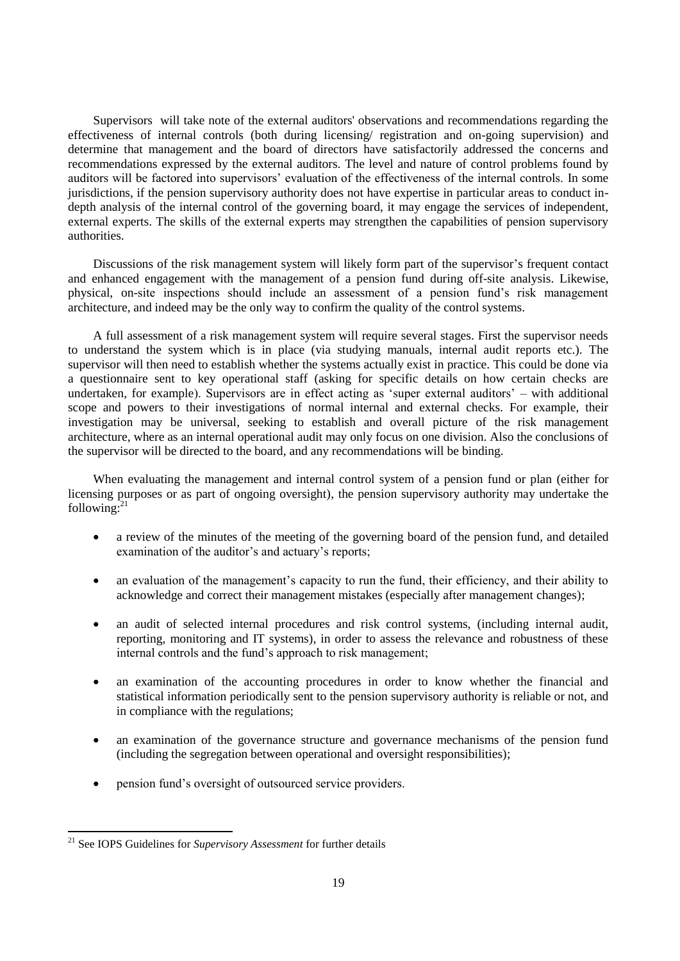Supervisors will take note of the external auditors' observations and recommendations regarding the effectiveness of internal controls (both during licensing/ registration and on-going supervision) and determine that management and the board of directors have satisfactorily addressed the concerns and recommendations expressed by the external auditors. The level and nature of control problems found by auditors will be factored into supervisors' evaluation of the effectiveness of the internal controls. In some jurisdictions, if the pension supervisory authority does not have expertise in particular areas to conduct indepth analysis of the internal control of the governing board, it may engage the services of independent, external experts. The skills of the external experts may strengthen the capabilities of pension supervisory authorities.

Discussions of the risk management system will likely form part of the supervisor's frequent contact and enhanced engagement with the management of a pension fund during off-site analysis. Likewise, physical, on-site inspections should include an assessment of a pension fund's risk management architecture, and indeed may be the only way to confirm the quality of the control systems.

A full assessment of a risk management system will require several stages. First the supervisor needs to understand the system which is in place (via studying manuals, internal audit reports etc.). The supervisor will then need to establish whether the systems actually exist in practice. This could be done via a questionnaire sent to key operational staff (asking for specific details on how certain checks are undertaken, for example). Supervisors are in effect acting as 'super external auditors' – with additional scope and powers to their investigations of normal internal and external checks. For example, their investigation may be universal, seeking to establish and overall picture of the risk management architecture, where as an internal operational audit may only focus on one division. Also the conclusions of the supervisor will be directed to the board, and any recommendations will be binding.

When evaluating the management and internal control system of a pension fund or plan (either for licensing purposes or as part of ongoing oversight), the pension supervisory authority may undertake the following: $^{21}$ 

- a review of the minutes of the meeting of the governing board of the pension fund, and detailed examination of the auditor's and actuary's reports;
- an evaluation of the management's capacity to run the fund, their efficiency, and their ability to acknowledge and correct their management mistakes (especially after management changes);
- an audit of selected internal procedures and risk control systems, (including internal audit, reporting, monitoring and IT systems), in order to assess the relevance and robustness of these internal controls and the fund's approach to risk management;
- an examination of the accounting procedures in order to know whether the financial and statistical information periodically sent to the pension supervisory authority is reliable or not, and in compliance with the regulations;
- an examination of the governance structure and governance mechanisms of the pension fund (including the segregation between operational and oversight responsibilities);
- pension fund's oversight of outsourced service providers.

<sup>21</sup> See IOPS Guidelines for *Supervisory Assessment* for further details